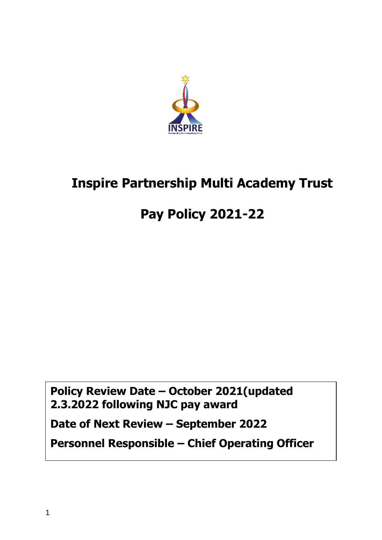

# **Inspire Partnership Multi Academy Trust**

# **Pay Policy 2021-22**

**Policy Review Date – October 2021(updated 2.3.2022 following NJC pay award**

**Date of Next Review – September 2022**

**Personnel Responsible – Chief Operating Officer**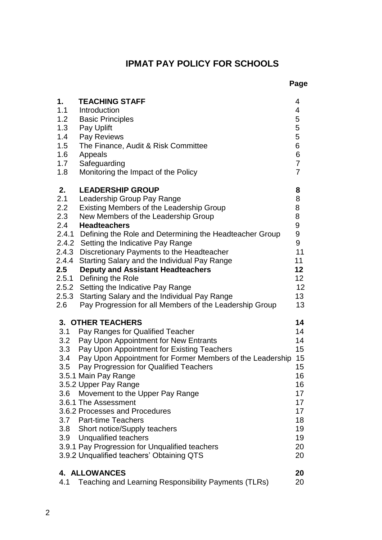## **IPMAT PAY POLICY FOR SCHOOLS**

| 1.    | <b>TEACHING STAFF</b>                                         | 4                     |
|-------|---------------------------------------------------------------|-----------------------|
| 1.1   | Introduction                                                  | 4                     |
| 1.2   | <b>Basic Principles</b>                                       | 5                     |
| 1.3   | Pay Uplift                                                    | 5                     |
| 1.4   | Pay Reviews                                                   | 5                     |
| 1.5   | The Finance, Audit & Risk Committee                           | 6                     |
| 1.6   | Appeals                                                       | 6                     |
| 1.7   | Safeguarding                                                  | $\overline{7}$        |
| 1.8   | Monitoring the Impact of the Policy                           | $\overline{7}$        |
|       |                                                               |                       |
| 2.    | <b>LEADERSHIP GROUP</b>                                       | 8                     |
| 2.1   | Leadership Group Pay Range                                    | 8                     |
| 2.2   | Existing Members of the Leadership Group                      | 8                     |
| 2.3   | New Members of the Leadership Group                           | 8                     |
| 2.4   | <b>Headteachers</b>                                           | 9<br>$\boldsymbol{9}$ |
|       | 2.4.1 Defining the Role and Determining the Headteacher Group | 9                     |
|       | 2.4.2 Setting the Indicative Pay Range                        |                       |
|       | 2.4.3 Discretionary Payments to the Headteacher               | 11                    |
| 2.4.4 | Starting Salary and the Individual Pay Range                  | 11<br>12              |
| 2.5   | <b>Deputy and Assistant Headteachers</b>                      | 12                    |
|       | 2.5.1 Defining the Role                                       | 12                    |
|       | 2.5.2 Setting the Indicative Pay Range                        | 13                    |
| 2.6   | 2.5.3 Starting Salary and the Individual Pay Range            | 13                    |
|       | Pay Progression for all Members of the Leadership Group       |                       |
|       | <b>3. OTHER TEACHERS</b>                                      | 14                    |
| 3.1   | Pay Ranges for Qualified Teacher                              | 14                    |
|       | 3.2 Pay Upon Appointment for New Entrants                     | 14                    |
| 3.3   | Pay Upon Appointment for Existing Teachers                    | 15                    |
| 3.4   | Pay Upon Appointment for Former Members of the Leadership     | 15                    |
| 3.5   | Pay Progression for Qualified Teachers                        | 15                    |
|       | 3.5.1 Main Pay Range                                          | 16                    |
|       | 3.5.2 Upper Pay Range                                         | 16                    |
| 3.6   | Movement to the Upper Pay Range                               | 17                    |
|       | 3.6.1 The Assessment                                          | 17                    |
|       | 3.6.2 Processes and Procedures                                | 17                    |
|       | 3.7 Part-time Teachers                                        | 18                    |
|       | 3.8 Short notice/Supply teachers                              | 19                    |
| 3.9   | Unqualified teachers                                          | 19                    |
|       | 3.9.1 Pay Progression for Unqualified teachers                | 20                    |
|       | 3.9.2 Unqualified teachers' Obtaining QTS                     | 20                    |
|       | <b>4. ALLOWANCES</b>                                          | 20                    |
| 4.1   | Teaching and Learning Responsibility Payments (TLRs)          | 20                    |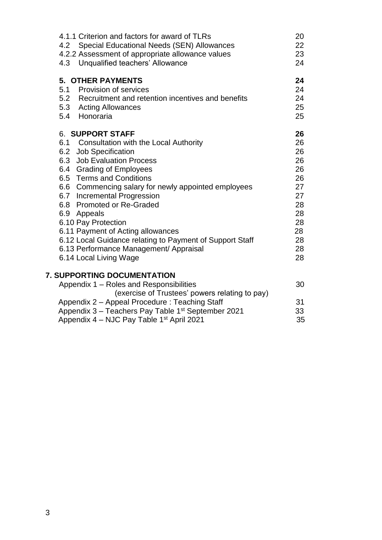| 4.1.1 Criterion and factors for award of TLRs<br>Special Educational Needs (SEN) Allowances<br>4.2 |    |  |
|----------------------------------------------------------------------------------------------------|----|--|
| 4.2.2 Assessment of appropriate allowance values                                                   | 23 |  |
| 4.3 Unqualified teachers' Allowance                                                                | 24 |  |
| <b>5. OTHER PAYMENTS</b>                                                                           | 24 |  |
| 5.1 Provision of services                                                                          | 24 |  |
| 5.2 Recruitment and retention incentives and benefits                                              | 24 |  |
| 5.3 Acting Allowances                                                                              | 25 |  |
| 5.4 Honoraria                                                                                      | 25 |  |
| 6. SUPPORT STAFF                                                                                   | 26 |  |
| 6.1 Consultation with the Local Authority                                                          | 26 |  |
| 6.2 Job Specification                                                                              | 26 |  |
| 6.3 Job Evaluation Process                                                                         | 26 |  |
| 6.4 Grading of Employees                                                                           | 26 |  |
| 6.5 Terms and Conditions                                                                           | 26 |  |
| 6.6 Commencing salary for newly appointed employees                                                | 27 |  |
| 6.7 Incremental Progression                                                                        | 27 |  |
| 6.8 Promoted or Re-Graded                                                                          | 28 |  |
| 6.9 Appeals                                                                                        | 28 |  |
| 6.10 Pay Protection                                                                                | 28 |  |
| 6.11 Payment of Acting allowances                                                                  | 28 |  |
| 6.12 Local Guidance relating to Payment of Support Staff                                           | 28 |  |
| 6.13 Performance Management/ Appraisal                                                             | 28 |  |
| 6.14 Local Living Wage                                                                             | 28 |  |
|                                                                                                    |    |  |

### **7. SUPPORTING DOCUMENTATION**

| Appendix 1 – Roles and Responsibilities                        | 30  |
|----------------------------------------------------------------|-----|
| (exercise of Trustees' powers relating to pay)                 |     |
| Appendix 2 - Appeal Procedure: Teaching Staff                  | .31 |
| Appendix 3 - Teachers Pay Table 1 <sup>st</sup> September 2021 | 33  |
| Appendix 4 – NJC Pay Table 1 <sup>st</sup> April 2021          | 35  |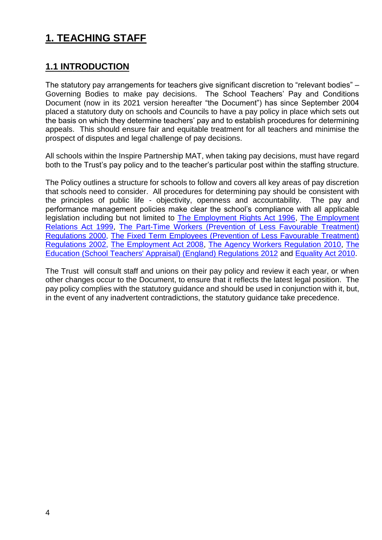## **1. TEACHING STAFF**

## **1.1 INTRODUCTION**

The statutory pay arrangements for teachers give significant discretion to "relevant bodies" – Governing Bodies to make pay decisions. The School Teachers' Pay and Conditions Document (now in its 2021 version hereafter "the Document") has since September 2004 placed a statutory duty on schools and Councils to have a pay policy in place which sets out the basis on which they determine teachers' pay and to establish procedures for determining appeals. This should ensure fair and equitable treatment for all teachers and minimise the prospect of disputes and legal challenge of pay decisions.

All schools within the Inspire Partnership MAT, when taking pay decisions, must have regard both to the Trust's pay policy and to the teacher's particular post within the staffing structure.

The Policy outlines a structure for schools to follow and covers all key areas of pay discretion that schools need to consider. All procedures for determining pay should be consistent with the principles of public life - objectivity, openness and accountability. The pay and performance management policies make clear the school's compliance with all applicable legislation including but not limited to [The Employment Rights Act 1996,](http://www.hmso.gov.uk/acts/acts1996/1996018.htm) [The Employment](http://www.hmso.gov.uk/acts/acts1999/19990026.htm)  [Relations Act 1999,](http://www.hmso.gov.uk/acts/acts1999/19990026.htm) [The Part-Time Workers \(Prevention of Less Favourable Treatment\)](http://www.dti.gov.uk/er/ptime.htm)  [Regulations 2000,](http://www.dti.gov.uk/er/ptime.htm) The [Fixed Term Employees \(Prevention of Less Favourable Treatment\)](http://www.legislation.hmso.gov.uk/si/si2002/20022034.htm)  [Regulations 2002,](http://www.legislation.hmso.gov.uk/si/si2002/20022034.htm) [The Employment Act 2008,](http://www.opsi.gov.uk/acts/acts2008/ukpga_20080024_en_1) [The Agency Workers Regulation 2010,](http://www.legislation.gov.uk/uksi/2010/93/contents/made) [The](http://www.legislation.gov.uk/uksi/2012/115/contents/made)  [Education \(School Teachers' Appraisal\) \(England\) Regulations 2012](http://www.legislation.gov.uk/uksi/2012/115/contents/made) and [Equality Act 2010.](http://www.equalities.gov.uk/equality_bill.aspx)

The Trust will consult staff and unions on their pay policy and review it each year, or when other changes occur to the Document, to ensure that it reflects the latest legal position. The pay policy complies with the statutory guidance and should be used in conjunction with it, but, in the event of any inadvertent contradictions, the statutory guidance take precedence.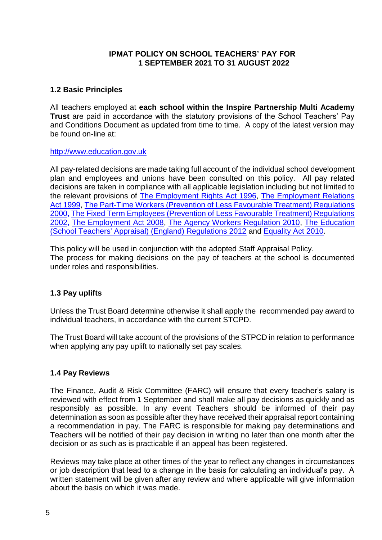#### **IPMAT POLICY ON SCHOOL TEACHERS' PAY FOR 1 SEPTEMBER 2021 TO 31 AUGUST 2022**

#### **1.2 Basic Principles**

All teachers employed at **each school within the Inspire Partnership Multi Academy Trust** are paid in accordance with the statutory provisions of the School Teachers' Pay and Conditions Document as updated from time to time. A copy of the latest version may be found on-line at:

#### [http://www.education.gov.uk](http://www.education.gov.uk/)

All pay-related decisions are made taking full account of the individual school development plan and employees and unions have been consulted on this policy. All pay related decisions are taken in compliance with all applicable legislation including but not limited to the relevant provisions of [The Employment Rights Act 1996,](http://www.hmso.gov.uk/acts/acts1996/1996018.htm) [The Employment Relations](http://www.hmso.gov.uk/acts/acts1999/19990026.htm)  [Act 1999,](http://www.hmso.gov.uk/acts/acts1999/19990026.htm) [The Part-Time Workers \(Prevention of Less Favourable Treatment\) Regulations](http://www.dti.gov.uk/er/ptime.htm)  [2000,](http://www.dti.gov.uk/er/ptime.htm) The [Fixed Term Employees \(Prevention of Less Favourable Treatment\) Regulations](http://www.legislation.hmso.gov.uk/si/si2002/20022034.htm)  [2002,](http://www.legislation.hmso.gov.uk/si/si2002/20022034.htm) [The Employment Act 2008,](http://www.opsi.gov.uk/acts/acts2008/ukpga_20080024_en_1) [The Agency Workers Regulation 2010,](http://www.legislation.gov.uk/uksi/2010/93/contents/made) [The Education](http://www.legislation.gov.uk/uksi/2012/115/contents/made)  [\(School Teachers' Appraisal\) \(England\) Regulations 2012](http://www.legislation.gov.uk/uksi/2012/115/contents/made) and [Equality Act 2010.](http://www.equalities.gov.uk/equality_bill.aspx)

This policy will be used in conjunction with the adopted Staff Appraisal Policy. The process for making decisions on the pay of teachers at the school is documented under roles and responsibilities.

#### **1.3 Pay uplifts**

Unless the Trust Board determine otherwise it shall apply the recommended pay award to individual teachers, in accordance with the current STCPD.

The Trust Board will take account of the provisions of the STPCD in relation to performance when applying any pay uplift to nationally set pay scales.

#### **1.4 Pay Reviews**

The Finance, Audit & Risk Committee (FARC) will ensure that every teacher's salary is reviewed with effect from 1 September and shall make all pay decisions as quickly and as responsibly as possible. In any event Teachers should be informed of their pay determination as soon as possible after they have received their appraisal report containing a recommendation in pay. The FARC is responsible for making pay determinations and Teachers will be notified of their pay decision in writing no later than one month after the decision or as such as is practicable if an appeal has been registered.

Reviews may take place at other times of the year to reflect any changes in circumstances or job description that lead to a change in the basis for calculating an individual's pay. A written statement will be given after any review and where applicable will give information about the basis on which it was made.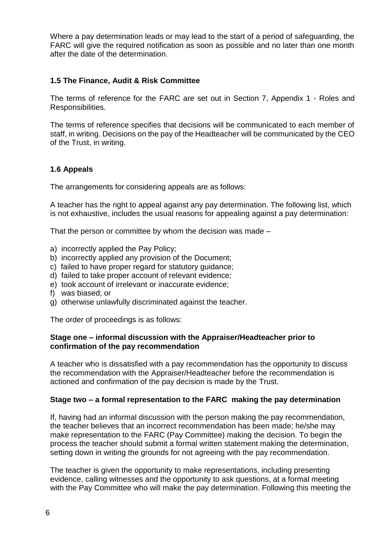Where a pay determination leads or may lead to the start of a period of safeguarding, the FARC will give the required notification as soon as possible and no later than one month after the date of the determination.

#### **1.5 The Finance, Audit & Risk Committee**

The terms of reference for the FARC are set out in Section 7, Appendix 1 - Roles and Responsibilities.

The terms of reference specifies that decisions will be communicated to each member of staff, in writing. Decisions on the pay of the Headteacher will be communicated by the CEO of the Trust, in writing.

#### **1.6 Appeals**

The arrangements for considering appeals are as follows:

A teacher has the right to appeal against any pay determination. The following list, which is not exhaustive, includes the usual reasons for appealing against a pay determination:

That the person or committee by whom the decision was made –

- a) incorrectly applied the Pay Policy;
- b) incorrectly applied any provision of the Document;
- c) failed to have proper regard for statutory guidance;
- d) failed to take proper account of relevant evidence;
- e) took account of irrelevant or inaccurate evidence;
- f) was biased; or
- g) otherwise unlawfully discriminated against the teacher.

The order of proceedings is as follows:

#### **Stage one – informal discussion with the Appraiser/Headteacher prior to confirmation of the pay recommendation**

A teacher who is dissatisfied with a pay recommendation has the opportunity to discuss the recommendation with the Appraiser/Headteacher before the recommendation is actioned and confirmation of the pay decision is made by the Trust.

#### **Stage two – a formal representation to the FARC making the pay determination**

If, having had an informal discussion with the person making the pay recommendation, the teacher believes that an incorrect recommendation has been made; he/she may make representation to the FARC (Pay Committee) making the decision. To begin the process the teacher should submit a formal written statement making the determination, setting down in writing the grounds for not agreeing with the pay recommendation.

The teacher is given the opportunity to make representations, including presenting evidence, calling witnesses and the opportunity to ask questions, at a formal meeting with the Pay Committee who will make the pay determination. Following this meeting the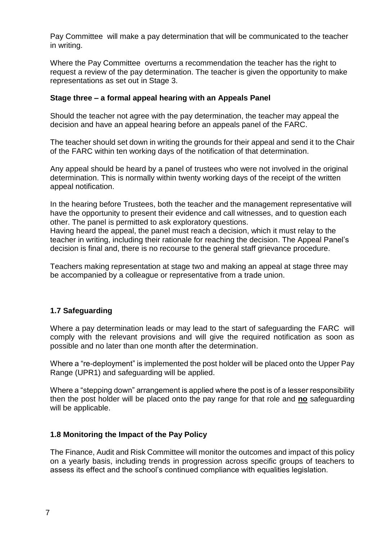Pay Committee will make a pay determination that will be communicated to the teacher in writing.

Where the Pay Committee overturns a recommendation the teacher has the right to request a review of the pay determination. The teacher is given the opportunity to make representations as set out in Stage 3.

#### **Stage three – a formal appeal hearing with an Appeals Panel**

Should the teacher not agree with the pay determination, the teacher may appeal the decision and have an appeal hearing before an appeals panel of the FARC.

The teacher should set down in writing the grounds for their appeal and send it to the Chair of the FARC within ten working days of the notification of that determination.

Any appeal should be heard by a panel of trustees who were not involved in the original determination. This is normally within twenty working days of the receipt of the written appeal notification.

In the hearing before Trustees, both the teacher and the management representative will have the opportunity to present their evidence and call witnesses, and to question each other. The panel is permitted to ask exploratory questions.

Having heard the appeal, the panel must reach a decision, which it must relay to the teacher in writing, including their rationale for reaching the decision. The Appeal Panel's decision is final and, there is no recourse to the general staff grievance procedure.

Teachers making representation at stage two and making an appeal at stage three may be accompanied by a colleague or representative from a trade union.

#### **1.7 Safeguarding**

Where a pay determination leads or may lead to the start of safeguarding the FARC will comply with the relevant provisions and will give the required notification as soon as possible and no later than one month after the determination.

Where a "re-deployment" is implemented the post holder will be placed onto the Upper Pay Range (UPR1) and safeguarding will be applied.

Where a "stepping down" arrangement is applied where the post is of a lesser responsibility then the post holder will be placed onto the pay range for that role and **no** safeguarding will be applicable.

#### **1.8 Monitoring the Impact of the Pay Policy**

The Finance, Audit and Risk Committee will monitor the outcomes and impact of this policy on a yearly basis, including trends in progression across specific groups of teachers to assess its effect and the school's continued compliance with equalities legislation.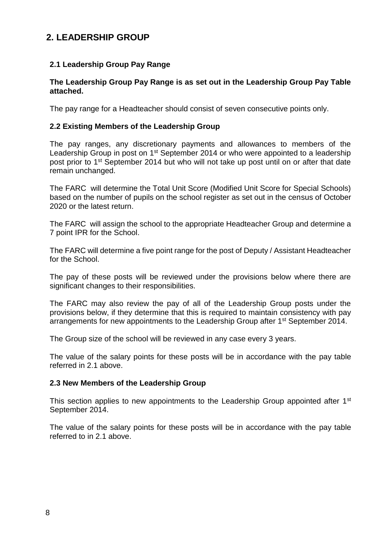## **2. LEADERSHIP GROUP**

#### **2.1 Leadership Group Pay Range**

#### **The Leadership Group Pay Range is as set out in the Leadership Group Pay Table attached.**

The pay range for a Headteacher should consist of seven consecutive points only.

#### **2.2 Existing Members of the Leadership Group**

The pay ranges, any discretionary payments and allowances to members of the Leadership Group in post on 1<sup>st</sup> September 2014 or who were appointed to a leadership post prior to 1st September 2014 but who will not take up post until on or after that date remain unchanged.

The FARC will determine the Total Unit Score (Modified Unit Score for Special Schools) based on the number of pupils on the school register as set out in the census of October 2020 or the latest return.

The FARC will assign the school to the appropriate Headteacher Group and determine a 7 point IPR for the School.

The FARC will determine a five point range for the post of Deputy / Assistant Headteacher for the School.

The pay of these posts will be reviewed under the provisions below where there are significant changes to their responsibilities.

The FARC may also review the pay of all of the Leadership Group posts under the provisions below, if they determine that this is required to maintain consistency with pay arrangements for new appointments to the Leadership Group after 1<sup>st</sup> September 2014.

The Group size of the school will be reviewed in any case every 3 years.

The value of the salary points for these posts will be in accordance with the pay table referred in 2.1 above.

#### **2.3 New Members of the Leadership Group**

This section applies to new appointments to the Leadership Group appointed after 1<sup>st</sup> September 2014.

The value of the salary points for these posts will be in accordance with the pay table referred to in 2.1 above.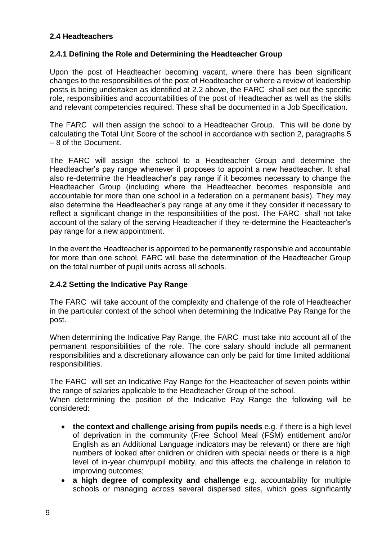#### **2.4 Headteachers**

#### **2.4.1 Defining the Role and Determining the Headteacher Group**

Upon the post of Headteacher becoming vacant, where there has been significant changes to the responsibilities of the post of Headteacher or where a review of leadership posts is being undertaken as identified at 2.2 above, the FARC shall set out the specific role, responsibilities and accountabilities of the post of Headteacher as well as the skills and relevant competencies required. These shall be documented in a Job Specification.

The FARC will then assign the school to a Headteacher Group. This will be done by calculating the Total Unit Score of the school in accordance with section 2, paragraphs 5 – 8 of the Document.

The FARC will assign the school to a Headteacher Group and determine the Headteacher's pay range whenever it proposes to appoint a new headteacher. It shall also re-determine the Headteacher's pay range if it becomes necessary to change the Headteacher Group (including where the Headteacher becomes responsible and accountable for more than one school in a federation on a permanent basis). They may also determine the Headteacher's pay range at any time if they consider it necessary to reflect a significant change in the responsibilities of the post. The FARC shall not take account of the salary of the serving Headteacher if they re-determine the Headteacher's pay range for a new appointment.

In the event the Headteacher is appointed to be permanently responsible and accountable for more than one school, FARC will base the determination of the Headteacher Group on the total number of pupil units across all schools.

#### **2.4.2 Setting the Indicative Pay Range**

The FARC will take account of the complexity and challenge of the role of Headteacher in the particular context of the school when determining the Indicative Pay Range for the post.

When determining the Indicative Pay Range, the FARC must take into account all of the permanent responsibilities of the role. The core salary should include all permanent responsibilities and a discretionary allowance can only be paid for time limited additional responsibilities.

The FARC will set an Indicative Pay Range for the Headteacher of seven points within the range of salaries applicable to the Headteacher Group of the school.

When determining the position of the Indicative Pay Range the following will be considered:

- **the context and challenge arising from pupils needs** e.g. if there is a high level of deprivation in the community (Free School Meal (FSM) entitlement and/or English as an Additional Language indicators may be relevant) or there are high numbers of looked after children or children with special needs or there is a high level of in-year churn/pupil mobility, and this affects the challenge in relation to improving outcomes;
- **a high degree of complexity and challenge** e.g. accountability for multiple schools or managing across several dispersed sites, which goes significantly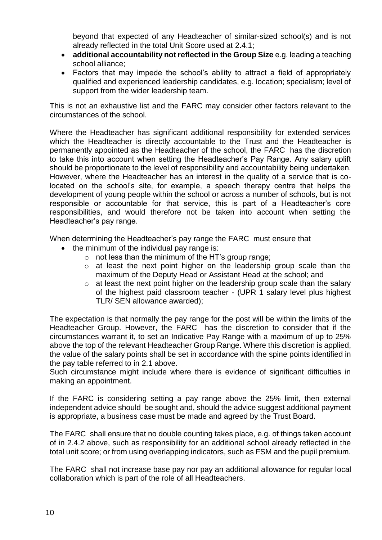beyond that expected of any Headteacher of similar-sized school(s) and is not already reflected in the total Unit Score used at 2.4.1;

- **additional accountability not reflected in the Group Size** e.g. leading a teaching school alliance;
- Factors that may impede the school's ability to attract a field of appropriately qualified and experienced leadership candidates, e.g. location; specialism; level of support from the wider leadership team.

This is not an exhaustive list and the FARC may consider other factors relevant to the circumstances of the school.

Where the Headteacher has significant additional responsibility for extended services which the Headteacher is directly accountable to the Trust and the Headteacher is permanently appointed as the Headteacher of the school, the FARC has the discretion to take this into account when setting the Headteacher's Pay Range. Any salary uplift should be proportionate to the level of responsibility and accountability being undertaken. However, where the Headteacher has an interest in the quality of a service that is colocated on the school's site, for example, a speech therapy centre that helps the development of young people within the school or across a number of schools, but is not responsible or accountable for that service, this is part of a Headteacher's core responsibilities, and would therefore not be taken into account when setting the Headteacher's pay range.

When determining the Headteacher's pay range the FARC must ensure that

- the minimum of the individual pay range is:
	- $\circ$  not less than the minimum of the HT's group range:
	- o at least the next point higher on the leadership group scale than the maximum of the Deputy Head or Assistant Head at the school; and
	- o at least the next point higher on the leadership group scale than the salary of the highest paid classroom teacher - (UPR 1 salary level plus highest TLR/ SEN allowance awarded);

The expectation is that normally the pay range for the post will be within the limits of the Headteacher Group. However, the FARC has the discretion to consider that if the circumstances warrant it, to set an Indicative Pay Range with a maximum of up to 25% above the top of the relevant Headteacher Group Range. Where this discretion is applied, the value of the salary points shall be set in accordance with the spine points identified in the pay table referred to in 2.1 above.

Such circumstance might include where there is evidence of significant difficulties in making an appointment.

If the FARC is considering setting a pay range above the 25% limit, then external independent advice should be sought and, should the advice suggest additional payment is appropriate, a business case must be made and agreed by the Trust Board.

The FARC shall ensure that no double counting takes place, e.g. of things taken account of in 2.4.2 above, such as responsibility for an additional school already reflected in the total unit score; or from using overlapping indicators, such as FSM and the pupil premium.

The FARC shall not increase base pay nor pay an additional allowance for regular local collaboration which is part of the role of all Headteachers.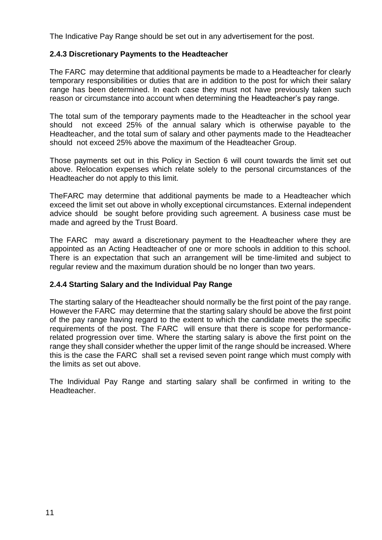The Indicative Pay Range should be set out in any advertisement for the post.

#### **2.4.3 Discretionary Payments to the Headteacher**

The FARC may determine that additional payments be made to a Headteacher for clearly temporary responsibilities or duties that are in addition to the post for which their salary range has been determined. In each case they must not have previously taken such reason or circumstance into account when determining the Headteacher's pay range.

The total sum of the temporary payments made to the Headteacher in the school year should not exceed 25% of the annual salary which is otherwise payable to the Headteacher, and the total sum of salary and other payments made to the Headteacher should not exceed 25% above the maximum of the Headteacher Group.

Those payments set out in this Policy in Section 6 will count towards the limit set out above. Relocation expenses which relate solely to the personal circumstances of the Headteacher do not apply to this limit.

TheFARC may determine that additional payments be made to a Headteacher which exceed the limit set out above in wholly exceptional circumstances. External independent advice should be sought before providing such agreement. A business case must be made and agreed by the Trust Board.

The FARC may award a discretionary payment to the Headteacher where they are appointed as an Acting Headteacher of one or more schools in addition to this school. There is an expectation that such an arrangement will be time-limited and subject to regular review and the maximum duration should be no longer than two years.

#### **2.4.4 Starting Salary and the Individual Pay Range**

The starting salary of the Headteacher should normally be the first point of the pay range. However the FARC may determine that the starting salary should be above the first point of the pay range having regard to the extent to which the candidate meets the specific requirements of the post. The FARC will ensure that there is scope for performancerelated progression over time. Where the starting salary is above the first point on the range they shall consider whether the upper limit of the range should be increased. Where this is the case the FARC shall set a revised seven point range which must comply with the limits as set out above.

The Individual Pay Range and starting salary shall be confirmed in writing to the Headteacher.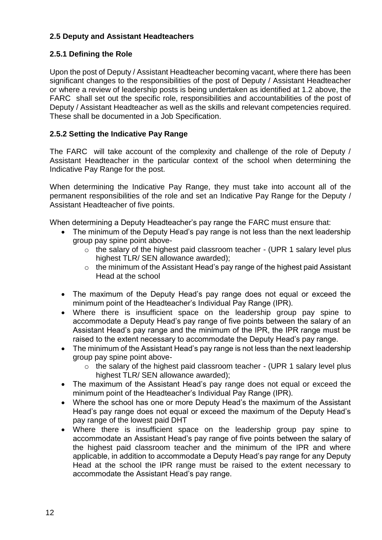#### **2.5 Deputy and Assistant Headteachers**

#### **2.5.1 Defining the Role**

Upon the post of Deputy / Assistant Headteacher becoming vacant, where there has been significant changes to the responsibilities of the post of Deputy / Assistant Headteacher or where a review of leadership posts is being undertaken as identified at 1.2 above, the FARC shall set out the specific role, responsibilities and accountabilities of the post of Deputy / Assistant Headteacher as well as the skills and relevant competencies required. These shall be documented in a Job Specification.

#### **2.5.2 Setting the Indicative Pay Range**

The FARC will take account of the complexity and challenge of the role of Deputy / Assistant Headteacher in the particular context of the school when determining the Indicative Pay Range for the post.

When determining the Indicative Pay Range, they must take into account all of the permanent responsibilities of the role and set an Indicative Pay Range for the Deputy / Assistant Headteacher of five points.

When determining a Deputy Headteacher's pay range the FARC must ensure that:

- The minimum of the Deputy Head's pay range is not less than the next leadership group pay spine point above
	- o the salary of the highest paid classroom teacher (UPR 1 salary level plus highest TLR/ SEN allowance awarded);
	- o the minimum of the Assistant Head's pay range of the highest paid Assistant Head at the school
- The maximum of the Deputy Head's pay range does not equal or exceed the minimum point of the Headteacher's Individual Pay Range (IPR).
- Where there is insufficient space on the leadership group pay spine to accommodate a Deputy Head's pay range of five points between the salary of an Assistant Head's pay range and the minimum of the IPR, the IPR range must be raised to the extent necessary to accommodate the Deputy Head's pay range.
- The minimum of the Assistant Head's pay range is not less than the next leadership group pay spine point above-
	- $\circ$  the salary of the highest paid classroom teacher (UPR 1 salary level plus highest TLR/ SEN allowance awarded);
- The maximum of the Assistant Head's pay range does not equal or exceed the minimum point of the Headteacher's Individual Pay Range (IPR).
- Where the school has one or more Deputy Head's the maximum of the Assistant Head's pay range does not equal or exceed the maximum of the Deputy Head's pay range of the lowest paid DHT
- Where there is insufficient space on the leadership group pay spine to accommodate an Assistant Head's pay range of five points between the salary of the highest paid classroom teacher and the minimum of the IPR and where applicable, in addition to accommodate a Deputy Head's pay range for any Deputy Head at the school the IPR range must be raised to the extent necessary to accommodate the Assistant Head's pay range.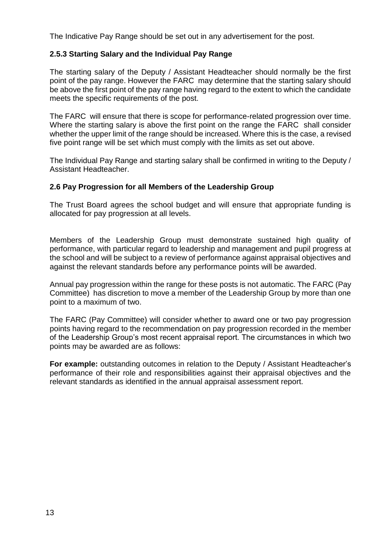The Indicative Pay Range should be set out in any advertisement for the post.

#### **2.5.3 Starting Salary and the Individual Pay Range**

The starting salary of the Deputy / Assistant Headteacher should normally be the first point of the pay range. However the FARC may determine that the starting salary should be above the first point of the pay range having regard to the extent to which the candidate meets the specific requirements of the post.

The FARC will ensure that there is scope for performance-related progression over time. Where the starting salary is above the first point on the range the FARC shall consider whether the upper limit of the range should be increased. Where this is the case, a revised five point range will be set which must comply with the limits as set out above.

The Individual Pay Range and starting salary shall be confirmed in writing to the Deputy / Assistant Headteacher.

#### **2.6 Pay Progression for all Members of the Leadership Group**

The Trust Board agrees the school budget and will ensure that appropriate funding is allocated for pay progression at all levels.

Members of the Leadership Group must demonstrate sustained high quality of performance, with particular regard to leadership and management and pupil progress at the school and will be subject to a review of performance against appraisal objectives and against the relevant standards before any performance points will be awarded.

Annual pay progression within the range for these posts is not automatic. The FARC (Pay Committee) has discretion to move a member of the Leadership Group by more than one point to a maximum of two.

The FARC (Pay Committee) will consider whether to award one or two pay progression points having regard to the recommendation on pay progression recorded in the member of the Leadership Group's most recent appraisal report. The circumstances in which two points may be awarded are as follows:

**For example:** outstanding outcomes in relation to the Deputy / Assistant Headteacher's performance of their role and responsibilities against their appraisal objectives and the relevant standards as identified in the annual appraisal assessment report.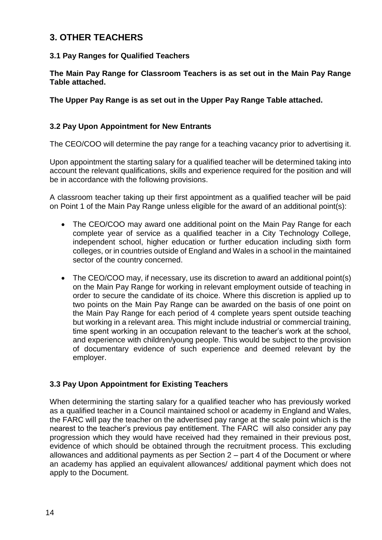### **3. OTHER TEACHERS**

#### **3.1 Pay Ranges for Qualified Teachers**

**The Main Pay Range for Classroom Teachers is as set out in the Main Pay Range Table attached.**

**The Upper Pay Range is as set out in the Upper Pay Range Table attached.**

#### **3.2 Pay Upon Appointment for New Entrants**

The CEO/COO will determine the pay range for a teaching vacancy prior to advertising it.

Upon appointment the starting salary for a qualified teacher will be determined taking into account the relevant qualifications, skills and experience required for the position and will be in accordance with the following provisions.

A classroom teacher taking up their first appointment as a qualified teacher will be paid on Point 1 of the Main Pay Range unless eligible for the award of an additional point(s):

- The CEO/COO may award one additional point on the Main Pay Range for each complete year of service as a qualified teacher in a City Technology College, independent school, higher education or further education including sixth form colleges, or in countries outside of England and Wales in a school in the maintained sector of the country concerned.
- The CEO/COO may, if necessary, use its discretion to award an additional point(s) on the Main Pay Range for working in relevant employment outside of teaching in order to secure the candidate of its choice. Where this discretion is applied up to two points on the Main Pay Range can be awarded on the basis of one point on the Main Pay Range for each period of 4 complete years spent outside teaching but working in a relevant area. This might include industrial or commercial training, time spent working in an occupation relevant to the teacher's work at the school, and experience with children/young people. This would be subject to the provision of documentary evidence of such experience and deemed relevant by the employer.

#### **3.3 Pay Upon Appointment for Existing Teachers**

When determining the starting salary for a qualified teacher who has previously worked as a qualified teacher in a Council maintained school or academy in England and Wales, the FARC will pay the teacher on the advertised pay range at the scale point which is the nearest to the teacher's previous pay entitlement. The FARC will also consider any pay progression which they would have received had they remained in their previous post, evidence of which should be obtained through the recruitment process. This excluding allowances and additional payments as per Section 2 – part 4 of the Document or where an academy has applied an equivalent allowances/ additional payment which does not apply to the Document.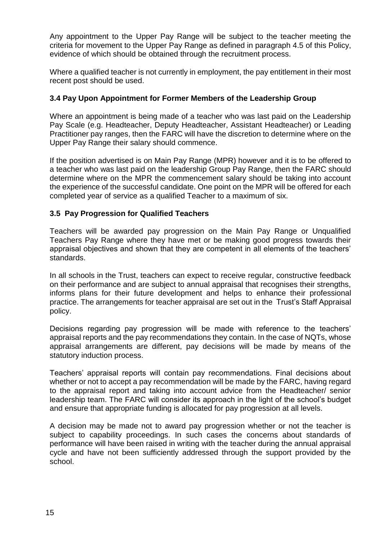Any appointment to the Upper Pay Range will be subject to the teacher meeting the criteria for movement to the Upper Pay Range as defined in paragraph 4.5 of this Policy, evidence of which should be obtained through the recruitment process.

Where a qualified teacher is not currently in employment, the pay entitlement in their most recent post should be used.

#### **3.4 Pay Upon Appointment for Former Members of the Leadership Group**

Where an appointment is being made of a teacher who was last paid on the Leadership Pay Scale (e.g. Headteacher, Deputy Headteacher, Assistant Headteacher) or Leading Practitioner pay ranges, then the FARC will have the discretion to determine where on the Upper Pay Range their salary should commence.

If the position advertised is on Main Pay Range (MPR) however and it is to be offered to a teacher who was last paid on the leadership Group Pay Range, then the FARC should determine where on the MPR the commencement salary should be taking into account the experience of the successful candidate. One point on the MPR will be offered for each completed year of service as a qualified Teacher to a maximum of six.

#### **3.5 Pay Progression for Qualified Teachers**

Teachers will be awarded pay progression on the Main Pay Range or Unqualified Teachers Pay Range where they have met or be making good progress towards their appraisal objectives and shown that they are competent in all elements of the teachers' standards.

In all schools in the Trust, teachers can expect to receive regular, constructive feedback on their performance and are subject to annual appraisal that recognises their strengths, informs plans for their future development and helps to enhance their professional practice. The arrangements for teacher appraisal are set out in the Trust's Staff Appraisal policy.

Decisions regarding pay progression will be made with reference to the teachers' appraisal reports and the pay recommendations they contain. In the case of NQTs, whose appraisal arrangements are different, pay decisions will be made by means of the statutory induction process.

Teachers' appraisal reports will contain pay recommendations. Final decisions about whether or not to accept a pay recommendation will be made by the FARC, having regard to the appraisal report and taking into account advice from the Headteacher/ senior leadership team. The FARC will consider its approach in the light of the school's budget and ensure that appropriate funding is allocated for pay progression at all levels.

A decision may be made not to award pay progression whether or not the teacher is subject to capability proceedings. In such cases the concerns about standards of performance will have been raised in writing with the teacher during the annual appraisal cycle and have not been sufficiently addressed through the support provided by the school.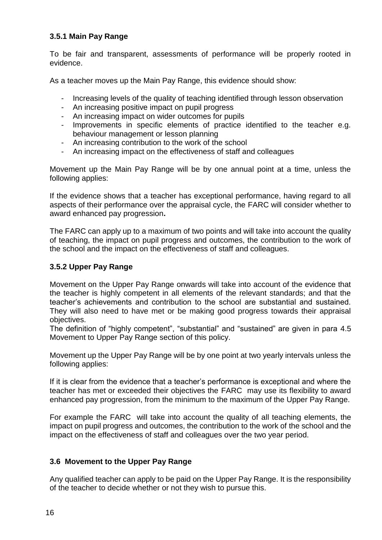#### **3.5.1 Main Pay Range**

To be fair and transparent, assessments of performance will be properly rooted in evidence.

As a teacher moves up the Main Pay Range, this evidence should show:

- Increasing levels of the quality of teaching identified through lesson observation
- An increasing positive impact on pupil progress
- An increasing impact on wider outcomes for pupils
- Improvements in specific elements of practice identified to the teacher e.g. behaviour management or lesson planning
- An increasing contribution to the work of the school
- An increasing impact on the effectiveness of staff and colleagues

Movement up the Main Pay Range will be by one annual point at a time, unless the following applies:

If the evidence shows that a teacher has exceptional performance, having regard to all aspects of their performance over the appraisal cycle, the FARC will consider whether to award enhanced pay progression**.**

The FARC can apply up to a maximum of two points and will take into account the quality of teaching, the impact on pupil progress and outcomes, the contribution to the work of the school and the impact on the effectiveness of staff and colleagues.

#### **3.5.2 Upper Pay Range**

Movement on the Upper Pay Range onwards will take into account of the evidence that the teacher is highly competent in all elements of the relevant standards; and that the teacher's achievements and contribution to the school are substantial and sustained. They will also need to have met or be making good progress towards their appraisal objectives.

The definition of "highly competent", "substantial" and "sustained" are given in para 4.5 Movement to Upper Pay Range section of this policy.

Movement up the Upper Pay Range will be by one point at two yearly intervals unless the following applies:

If it is clear from the evidence that a teacher's performance is exceptional and where the teacher has met or exceeded their objectives the FARC may use its flexibility to award enhanced pay progression, from the minimum to the maximum of the Upper Pay Range.

For example the FARC will take into account the quality of all teaching elements, the impact on pupil progress and outcomes, the contribution to the work of the school and the impact on the effectiveness of staff and colleagues over the two year period.

#### **3.6 Movement to the Upper Pay Range**

Any qualified teacher can apply to be paid on the Upper Pay Range. It is the responsibility of the teacher to decide whether or not they wish to pursue this.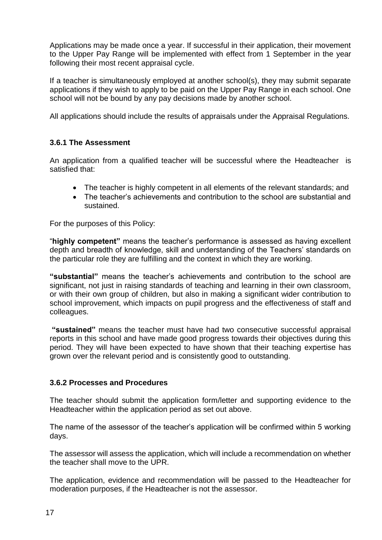Applications may be made once a year. If successful in their application, their movement to the Upper Pay Range will be implemented with effect from 1 September in the year following their most recent appraisal cycle.

If a teacher is simultaneously employed at another school(s), they may submit separate applications if they wish to apply to be paid on the Upper Pay Range in each school. One school will not be bound by any pay decisions made by another school.

All applications should include the results of appraisals under the Appraisal Regulations.

#### **3.6.1 The Assessment**

An application from a qualified teacher will be successful where the Headteacher is satisfied that:

- The teacher is highly competent in all elements of the relevant standards; and
- The teacher's achievements and contribution to the school are substantial and sustained.

For the purposes of this Policy:

"**highly competent"** means the teacher's performance is assessed as having excellent depth and breadth of knowledge, skill and understanding of the Teachers' standards on the particular role they are fulfilling and the context in which they are working.

**"substantial"** means the teacher's achievements and contribution to the school are significant, not just in raising standards of teaching and learning in their own classroom, or with their own group of children, but also in making a significant wider contribution to school improvement, which impacts on pupil progress and the effectiveness of staff and colleagues.

**"sustained"** means the teacher must have had two consecutive successful appraisal reports in this school and have made good progress towards their objectives during this period. They will have been expected to have shown that their teaching expertise has grown over the relevant period and is consistently good to outstanding.

#### **3.6.2 Processes and Procedures**

The teacher should submit the application form/letter and supporting evidence to the Headteacher within the application period as set out above.

The name of the assessor of the teacher's application will be confirmed within 5 working days.

The assessor will assess the application, which will include a recommendation on whether the teacher shall move to the UPR.

The application, evidence and recommendation will be passed to the Headteacher for moderation purposes, if the Headteacher is not the assessor.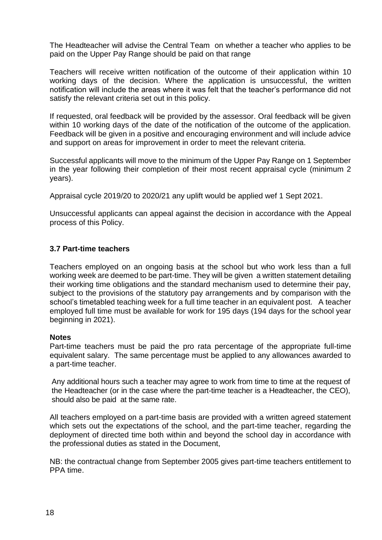The Headteacher will advise the Central Team on whether a teacher who applies to be paid on the Upper Pay Range should be paid on that range

Teachers will receive written notification of the outcome of their application within 10 working days of the decision. Where the application is unsuccessful, the written notification will include the areas where it was felt that the teacher's performance did not satisfy the relevant criteria set out in this policy.

If requested, oral feedback will be provided by the assessor. Oral feedback will be given within 10 working days of the date of the notification of the outcome of the application. Feedback will be given in a positive and encouraging environment and will include advice and support on areas for improvement in order to meet the relevant criteria.

Successful applicants will move to the minimum of the Upper Pay Range on 1 September in the year following their completion of their most recent appraisal cycle (minimum 2 years).

Appraisal cycle 2019/20 to 2020/21 any uplift would be applied wef 1 Sept 2021.

Unsuccessful applicants can appeal against the decision in accordance with the Appeal process of this Policy.

#### **3.7 Part-time teachers**

Teachers employed on an ongoing basis at the school but who work less than a full working week are deemed to be part-time. They will be given a written statement detailing their working time obligations and the standard mechanism used to determine their pay, subject to the provisions of the statutory pay arrangements and by comparison with the school's timetabled teaching week for a full time teacher in an equivalent post. A teacher employed full time must be available for work for 195 days (194 days for the school year beginning in 2021).

#### **Notes**

Part-time teachers must be paid the pro rata percentage of the appropriate full-time equivalent salary. The same percentage must be applied to any allowances awarded to a part-time teacher.

Any additional hours such a teacher may agree to work from time to time at the request of the Headteacher (or in the case where the part-time teacher is a Headteacher, the CEO), should also be paid at the same rate.

All teachers employed on a part-time basis are provided with a written agreed statement which sets out the expectations of the school, and the part-time teacher, regarding the deployment of directed time both within and beyond the school day in accordance with the professional duties as stated in the Document,

NB: the contractual change from September 2005 gives part-time teachers entitlement to PPA time.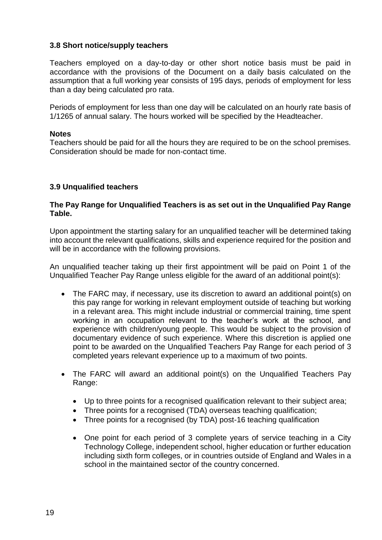#### **3.8 Short notice/supply teachers**

Teachers employed on a day-to-day or other short notice basis must be paid in accordance with the provisions of the Document on a daily basis calculated on the assumption that a full working year consists of 195 days, periods of employment for less than a day being calculated pro rata.

Periods of employment for less than one day will be calculated on an hourly rate basis of 1/1265 of annual salary. The hours worked will be specified by the Headteacher.

#### **Notes**

Teachers should be paid for all the hours they are required to be on the school premises. Consideration should be made for non-contact time.

#### **3.9 Unqualified teachers**

#### **The Pay Range for Unqualified Teachers is as set out in the Unqualified Pay Range Table.**

Upon appointment the starting salary for an unqualified teacher will be determined taking into account the relevant qualifications, skills and experience required for the position and will be in accordance with the following provisions.

An unqualified teacher taking up their first appointment will be paid on Point 1 of the Unqualified Teacher Pay Range unless eligible for the award of an additional point(s):

- The FARC may, if necessary, use its discretion to award an additional point(s) on this pay range for working in relevant employment outside of teaching but working in a relevant area. This might include industrial or commercial training, time spent working in an occupation relevant to the teacher's work at the school, and experience with children/young people. This would be subject to the provision of documentary evidence of such experience. Where this discretion is applied one point to be awarded on the Unqualified Teachers Pay Range for each period of 3 completed years relevant experience up to a maximum of two points.
- The FARC will award an additional point(s) on the Unqualified Teachers Pay Range:
	- Up to three points for a recognised qualification relevant to their subject area;
	- Three points for a recognised (TDA) overseas teaching qualification;
	- Three points for a recognised (by TDA) post-16 teaching qualification
	- One point for each period of 3 complete years of service teaching in a City Technology College, independent school, higher education or further education including sixth form colleges, or in countries outside of England and Wales in a school in the maintained sector of the country concerned.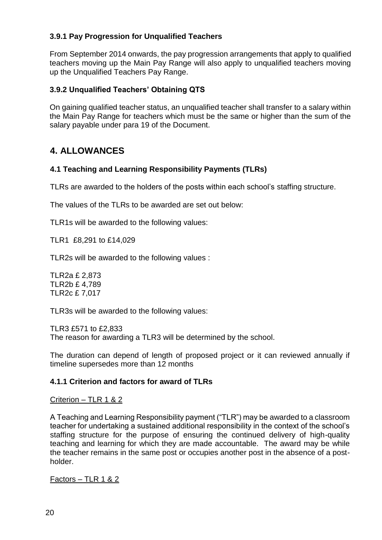#### **3.9.1 Pay Progression for Unqualified Teachers**

From September 2014 onwards, the pay progression arrangements that apply to qualified teachers moving up the Main Pay Range will also apply to unqualified teachers moving up the Unqualified Teachers Pay Range.

#### **3.9.2 Unqualified Teachers' Obtaining QTS**

On gaining qualified teacher status, an unqualified teacher shall transfer to a salary within the Main Pay Range for teachers which must be the same or higher than the sum of the salary payable under para 19 of the Document.

### **4. ALLOWANCES**

#### **4.1 Teaching and Learning Responsibility Payments (TLRs)**

TLRs are awarded to the holders of the posts within each school's staffing structure.

The values of the TLRs to be awarded are set out below:

TLR1s will be awarded to the following values:

TLR1 £8,291 to £14,029

TLR2s will be awarded to the following values :

TLR2a £ 2,873 TLR2b £ 4,789 TLR2c £ 7,017

TLR3s will be awarded to the following values:

TLR3 £571 to £2,833 The reason for awarding a TLR3 will be determined by the school.

The duration can depend of length of proposed project or it can reviewed annually if timeline supersedes more than 12 months

#### **4.1.1 Criterion and factors for award of TLRs**

#### Criterion – TLR 1 & 2

A Teaching and Learning Responsibility payment ("TLR") may be awarded to a classroom teacher for undertaking a sustained additional responsibility in the context of the school's staffing structure for the purpose of ensuring the continued delivery of high-quality teaching and learning for which they are made accountable. The award may be while the teacher remains in the same post or occupies another post in the absence of a postholder.

Factors – TLR 1 & 2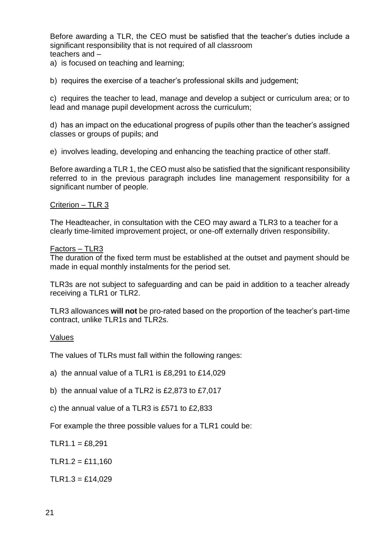Before awarding a TLR, the CEO must be satisfied that the teacher's duties include a significant responsibility that is not required of all classroom teachers and –

a) is focused on teaching and learning;

b) requires the exercise of a teacher's professional skills and judgement;

c) requires the teacher to lead, manage and develop a subject or curriculum area; or to lead and manage pupil development across the curriculum;

d) has an impact on the educational progress of pupils other than the teacher's assigned classes or groups of pupils; and

e) involves leading, developing and enhancing the teaching practice of other staff.

Before awarding a TLR 1, the CEO must also be satisfied that the significant responsibility referred to in the previous paragraph includes line management responsibility for a significant number of people.

#### Criterion – TLR 3

The Headteacher, in consultation with the CEO may award a TLR3 to a teacher for a clearly time-limited improvement project, or one-off externally driven responsibility.

#### Factors – TLR3

The duration of the fixed term must be established at the outset and payment should be made in equal monthly instalments for the period set.

TLR3s are not subject to safeguarding and can be paid in addition to a teacher already receiving a TLR1 or TLR2.

TLR3 allowances **will not** be pro-rated based on the proportion of the teacher's part-time contract, unlike TLR1s and TLR2s.

#### Values

The values of TLRs must fall within the following ranges:

a) the annual value of a TLR1 is £8,291 to £14,029

b) the annual value of a TLR2 is £2,873 to £7,017

c) the annual value of a TLR3 is £571 to £2,833

For example the three possible values for a TLR1 could be:

 $TLR1.1 = £8.291$ 

 $TLR1.2 = £11,160$ 

 $TLR1.3 = £14,029$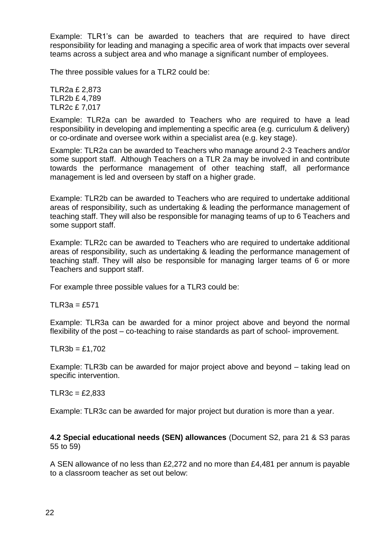Example: TLR1's can be awarded to teachers that are required to have direct responsibility for leading and managing a specific area of work that impacts over several teams across a subject area and who manage a significant number of employees.

The three possible values for a TLR2 could be:

TLR2a £ 2,873 TLR2b £ 4,789 TLR2c £ 7,017

Example: TLR2a can be awarded to Teachers who are required to have a lead responsibility in developing and implementing a specific area (e.g. curriculum & delivery) or co-ordinate and oversee work within a specialist area (e.g. key stage).

Example: TLR2a can be awarded to Teachers who manage around 2-3 Teachers and/or some support staff. Although Teachers on a TLR 2a may be involved in and contribute towards the performance management of other teaching staff, all performance management is led and overseen by staff on a higher grade.

Example: TLR2b can be awarded to Teachers who are required to undertake additional areas of responsibility, such as undertaking & leading the performance management of teaching staff. They will also be responsible for managing teams of up to 6 Teachers and some support staff.

Example: TLR2c can be awarded to Teachers who are required to undertake additional areas of responsibility, such as undertaking & leading the performance management of teaching staff. They will also be responsible for managing larger teams of 6 or more Teachers and support staff.

For example three possible values for a TLR3 could be:

TLR3a =  $£571$ 

Example: TLR3a can be awarded for a minor project above and beyond the normal flexibility of the post – co-teaching to raise standards as part of school- improvement.

#### $TLR3b = £1,702$

Example: TLR3b can be awarded for major project above and beyond – taking lead on specific intervention.

#### $TLR3c = £2.833$

Example: TLR3c can be awarded for major project but duration is more than a year.

**4.2 Special educational needs (SEN) allowances** (Document S2, para 21 & S3 paras 55 to 59)

A SEN allowance of no less than £2,272 and no more than £4,481 per annum is payable to a classroom teacher as set out below: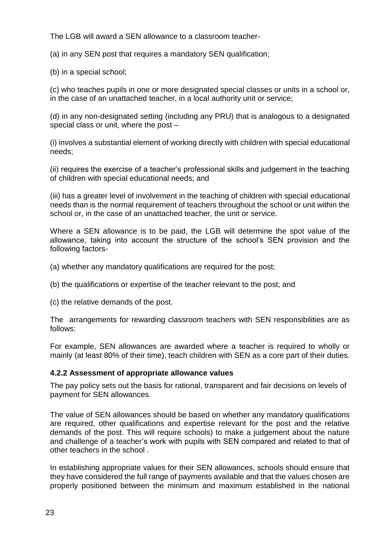The LGB will award a SEN allowance to a classroom teacher-

(a) in any SEN post that requires a mandatory SEN qualification;

(b) in a special school;

(c) who teaches pupils in one or more designated special classes or units in a school or, in the case of an unattached teacher, in a local authority unit or service;

(d) in any non-designated setting (including any PRU) that is analogous to a designated special class or unit, where the post –

(i) involves a substantial element of working directly with children with special educational needs;

(ii) requires the exercise of a teacher's professional skills and judgement in the teaching of children with special educational needs; and

(iii) has a greater level of involvement in the teaching of children with special educational needs than is the normal requirement of teachers throughout the school or unit within the school or, in the case of an unattached teacher, the unit or service.

Where a SEN allowance is to be paid, the LGB will determine the spot value of the allowance, taking into account the structure of the school's SEN provision and the following factors-

- (a) whether any mandatory qualifications are required for the post;
- (b) the qualifications or expertise of the teacher relevant to the post; and

(c) the relative demands of the post.

The arrangements for rewarding classroom teachers with SEN responsibilities are as follows:

For example, SEN allowances are awarded where a teacher is required to wholly or mainly (at least 80% of their time), teach children with SEN as a core part of their duties.

#### **4.2.2 Assessment of appropriate allowance values**

The pay policy sets out the basis for rational, transparent and fair decisions on levels of payment for SEN allowances.

The value of SEN allowances should be based on whether any mandatory qualifications are required, other qualifications and expertise relevant for the post and the relative demands of the post. This will require schools) to make a judgement about the nature and challenge of a teacher's work with pupils with SEN compared and related to that of other teachers in the school .

In establishing appropriate values for their SEN allowances, schools should ensure that they have considered the full range of payments available and that the values chosen are properly positioned between the minimum and maximum established in the national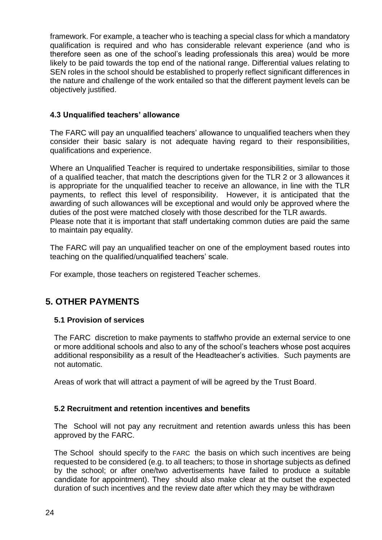framework. For example, a teacher who is teaching a special class for which a mandatory qualification is required and who has considerable relevant experience (and who is therefore seen as one of the school's leading professionals this area) would be more likely to be paid towards the top end of the national range. Differential values relating to SEN roles in the school should be established to properly reflect significant differences in the nature and challenge of the work entailed so that the different payment levels can be objectively justified.

#### **4.3 Unqualified teachers' allowance**

The FARC will pay an unqualified teachers' allowance to unqualified teachers when they consider their basic salary is not adequate having regard to their responsibilities, qualifications and experience.

Where an Unqualified Teacher is required to undertake responsibilities, similar to those of a qualified teacher, that match the descriptions given for the TLR 2 or 3 allowances it is appropriate for the unqualified teacher to receive an allowance, in line with the TLR payments, to reflect this level of responsibility. However, it is anticipated that the awarding of such allowances will be exceptional and would only be approved where the duties of the post were matched closely with those described for the TLR awards. Please note that it is important that staff undertaking common duties are paid the same to maintain pay equality.

The FARC will pay an unqualified teacher on one of the employment based routes into teaching on the qualified/unqualified teachers' scale.

For example, those teachers on registered Teacher schemes.

## **5. OTHER PAYMENTS**

#### **5.1 Provision of services**

The FARC discretion to make payments to staffwho provide an external service to one or more additional schools and also to any of the school's teachers whose post acquires additional responsibility as a result of the Headteacher's activities. Such payments are not automatic.

Areas of work that will attract a payment of will be agreed by the Trust Board.

#### **5.2 Recruitment and retention incentives and benefits**

The School will not pay any recruitment and retention awards unless this has been approved by the FARC.

The School should specify to the FARC the basis on which such incentives are being requested to be considered (e.g. to all teachers; to those in shortage subjects as defined by the school; or after one/two advertisements have failed to produce a suitable candidate for appointment). They should also make clear at the outset the expected duration of such incentives and the review date after which they may be withdrawn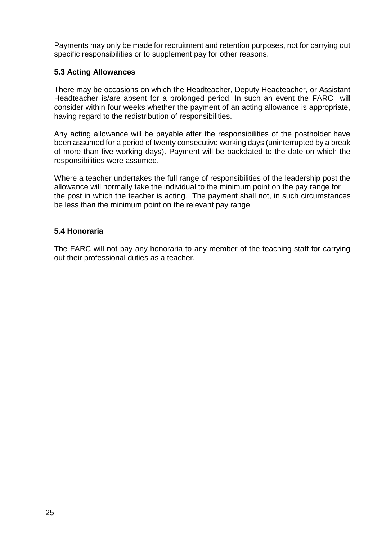Payments may only be made for recruitment and retention purposes, not for carrying out specific responsibilities or to supplement pay for other reasons.

#### **5.3 Acting Allowances**

There may be occasions on which the Headteacher, Deputy Headteacher, or Assistant Headteacher is/are absent for a prolonged period. In such an event the FARC will consider within four weeks whether the payment of an acting allowance is appropriate, having regard to the redistribution of responsibilities.

Any acting allowance will be payable after the responsibilities of the postholder have been assumed for a period of twenty consecutive working days (uninterrupted by a break of more than five working days). Payment will be backdated to the date on which the responsibilities were assumed.

Where a teacher undertakes the full range of responsibilities of the leadership post the allowance will normally take the individual to the minimum point on the pay range for the post in which the teacher is acting. The payment shall not, in such circumstances be less than the minimum point on the relevant pay range

#### **5.4 Honoraria**

The FARC will not pay any honoraria to any member of the teaching staff for carrying out their professional duties as a teacher.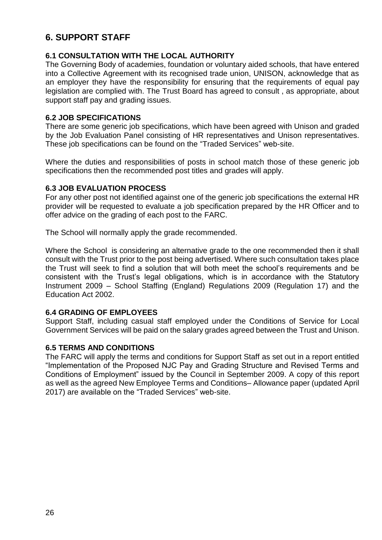## **6. SUPPORT STAFF**

#### **6.1 CONSULTATION WITH THE LOCAL AUTHORITY**

The Governing Body of academies, foundation or voluntary aided schools, that have entered into a Collective Agreement with its recognised trade union, UNISON, acknowledge that as an employer they have the responsibility for ensuring that the requirements of equal pay legislation are complied with. The Trust Board has agreed to consult , as appropriate, about support staff pay and grading issues.

#### **6.2 JOB SPECIFICATIONS**

There are some generic job specifications, which have been agreed with Unison and graded by the Job Evaluation Panel consisting of HR representatives and Unison representatives. These job specifications can be found on the "Traded Services" web-site.

Where the duties and responsibilities of posts in school match those of these generic job specifications then the recommended post titles and grades will apply.

#### **6.3 JOB EVALUATION PROCESS**

For any other post not identified against one of the generic job specifications the external HR provider will be requested to evaluate a job specification prepared by the HR Officer and to offer advice on the grading of each post to the FARC.

The School will normally apply the grade recommended.

Where the School is considering an alternative grade to the one recommended then it shall consult with the Trust prior to the post being advertised. Where such consultation takes place the Trust will seek to find a solution that will both meet the school's requirements and be consistent with the Trust's legal obligations, which is in accordance with the Statutory Instrument 2009 – School Staffing (England) Regulations 2009 (Regulation 17) and the Education Act 2002.

#### **6.4 GRADING OF EMPLOYEES**

Support Staff, including casual staff employed under the Conditions of Service for Local Government Services will be paid on the salary grades agreed between the Trust and Unison.

#### **6.5 TERMS AND CONDITIONS**

The FARC will apply the terms and conditions for Support Staff as set out in a report entitled "Implementation of the Proposed NJC Pay and Grading Structure and Revised Terms and Conditions of Employment" issued by the Council in September 2009. A copy of this report as well as the agreed New Employee Terms and Conditions– Allowance paper (updated April 2017) are available on the "Traded Services" web-site.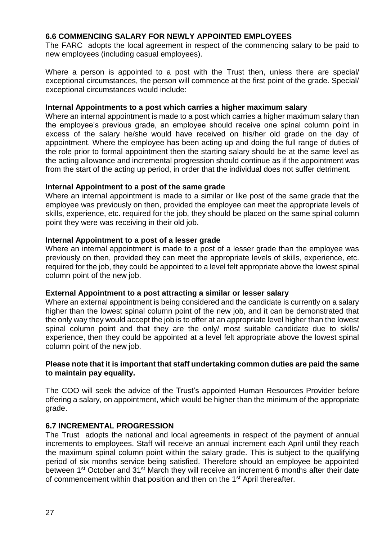#### **6.6 COMMENCING SALARY FOR NEWLY APPOINTED EMPLOYEES**

The FARC adopts the local agreement in respect of the commencing salary to be paid to new employees (including casual employees).

Where a person is appointed to a post with the Trust then, unless there are special/ exceptional circumstances, the person will commence at the first point of the grade. Special/ exceptional circumstances would include:

#### **Internal Appointments to a post which carries a higher maximum salary**

Where an internal appointment is made to a post which carries a higher maximum salary than the employee's previous grade, an employee should receive one spinal column point in excess of the salary he/she would have received on his/her old grade on the day of appointment. Where the employee has been acting up and doing the full range of duties of the role prior to formal appointment then the starting salary should be at the same level as the acting allowance and incremental progression should continue as if the appointment was from the start of the acting up period, in order that the individual does not suffer detriment.

#### **Internal Appointment to a post of the same grade**

Where an internal appointment is made to a similar or like post of the same grade that the employee was previously on then, provided the employee can meet the appropriate levels of skills, experience, etc. required for the job, they should be placed on the same spinal column point they were was receiving in their old job.

#### **Internal Appointment to a post of a lesser grade**

Where an internal appointment is made to a post of a lesser grade than the employee was previously on then, provided they can meet the appropriate levels of skills, experience, etc. required for the job, they could be appointed to a level felt appropriate above the lowest spinal column point of the new job.

#### **External Appointment to a post attracting a similar or lesser salary**

Where an external appointment is being considered and the candidate is currently on a salary higher than the lowest spinal column point of the new job, and it can be demonstrated that the only way they would accept the job is to offer at an appropriate level higher than the lowest spinal column point and that they are the only/ most suitable candidate due to skills/ experience, then they could be appointed at a level felt appropriate above the lowest spinal column point of the new job.

#### **Please note that it is important that staff undertaking common duties are paid the same to maintain pay equality.**

The COO will seek the advice of the Trust's appointed Human Resources Provider before offering a salary, on appointment, which would be higher than the minimum of the appropriate grade.

#### **6.7 INCREMENTAL PROGRESSION**

The Trust adopts the national and local agreements in respect of the payment of annual increments to employees. Staff will receive an annual increment each April until they reach the maximum spinal column point within the salary grade. This is subject to the qualifying period of six months service being satisfied. Therefore should an employee be appointed between 1<sup>st</sup> October and 31<sup>st</sup> March they will receive an increment 6 months after their date of commencement within that position and then on the 1<sup>st</sup> April thereafter.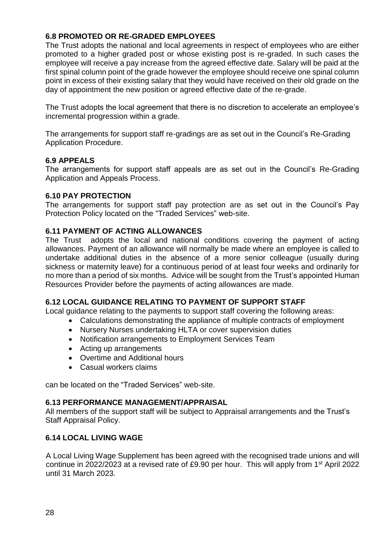#### **6.8 PROMOTED OR RE-GRADED EMPLOYEES**

The Trust adopts the national and local agreements in respect of employees who are either promoted to a higher graded post or whose existing post is re-graded. In such cases the employee will receive a pay increase from the agreed effective date. Salary will be paid at the first spinal column point of the grade however the employee should receive one spinal column point in excess of their existing salary that they would have received on their old grade on the day of appointment the new position or agreed effective date of the re-grade.

The Trust adopts the local agreement that there is no discretion to accelerate an employee's incremental progression within a grade.

The arrangements for support staff re-gradings are as set out in the Council's Re-Grading Application Procedure.

#### **6.9 APPEALS**

The arrangements for support staff appeals are as set out in the Council's Re-Grading Application and Appeals Process.

#### **6.10 PAY PROTECTION**

The arrangements for support staff pay protection are as set out in the Council's Pay Protection Policy located on the "Traded Services" web-site.

#### **6.11 PAYMENT OF ACTING ALLOWANCES**

The Trust adopts the local and national conditions covering the payment of acting allowances. Payment of an allowance will normally be made where an employee is called to undertake additional duties in the absence of a more senior colleague (usually during sickness or maternity leave) for a continuous period of at least four weeks and ordinarily for no more than a period of six months. Advice will be sought from the Trust's appointed Human Resources Provider before the payments of acting allowances are made.

#### **6.12 LOCAL GUIDANCE RELATING TO PAYMENT OF SUPPORT STAFF**

Local guidance relating to the payments to support staff covering the following areas:

- Calculations demonstrating the appliance of multiple contracts of employment
- Nursery Nurses undertaking HLTA or cover supervision duties
- Notification arrangements to Employment Services Team
- Acting up arrangements
- Overtime and Additional hours
- Casual workers claims

can be located on the "Traded Services" web-site.

#### **6.13 PERFORMANCE MANAGEMENT/APPRAISAL**

All members of the support staff will be subject to Appraisal arrangements and the Trust's Staff Appraisal Policy.

#### **6.14 LOCAL LIVING WAGE**

A Local Living Wage Supplement has been agreed with the recognised trade unions and will continue in 2022/2023 at a revised rate of £9.90 per hour. This will apply from 1<sup>st</sup> April 2022 until 31 March 2023.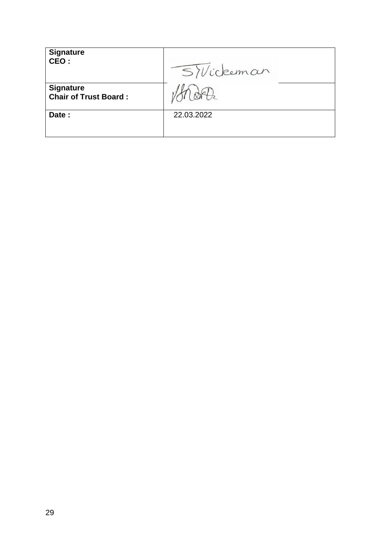| <b>Signature</b><br>CEO:                         | SVickeman  |
|--------------------------------------------------|------------|
| <b>Signature</b><br><b>Chair of Trust Board:</b> |            |
| Date:                                            | 22.03.2022 |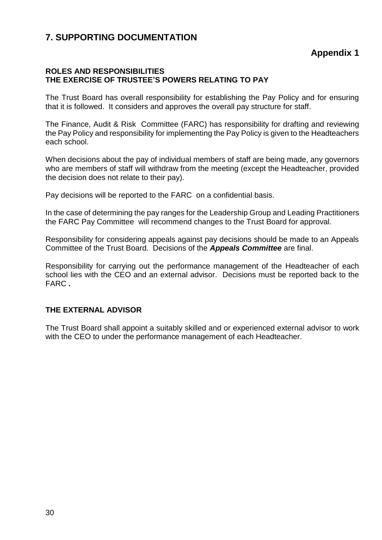### **7. SUPPORTING DOCUMENTATION**

**Appendix 1**

#### **ROLES AND RESPONSIBILITIES THE EXERCISE OF TRUSTEE'S POWERS RELATING TO PAY**

The Trust Board has overall responsibility for establishing the Pay Policy and for ensuring that it is followed. It considers and approves the overall pay structure for staff.

The Finance, Audit & Risk Committee (FARC) has responsibility for drafting and reviewing the Pay Policy and responsibility for implementing the Pay Policy is given to the Headteachers each school.

When decisions about the pay of individual members of staff are being made, any governors who are members of staff will withdraw from the meeting (except the Headteacher, provided the decision does not relate to their pay).

Pay decisions will be reported to the FARC on a confidential basis.

In the case of determining the pay ranges for the Leadership Group and Leading Practitioners the FARC Pay Committee will recommend changes to the Trust Board for approval.

Responsibility for considering appeals against pay decisions should be made to an Appeals Committee of the Trust Board. Decisions of the *Appeals Committee* are final.

Responsibility for carrying out the performance management of the Headteacher of each school lies with the CEO and an external advisor. Decisions must be reported back to the FARC *.*

#### **THE EXTERNAL ADVISOR**

The Trust Board shall appoint a suitably skilled and or experienced external advisor to work with the CEO to under the performance management of each Headteacher.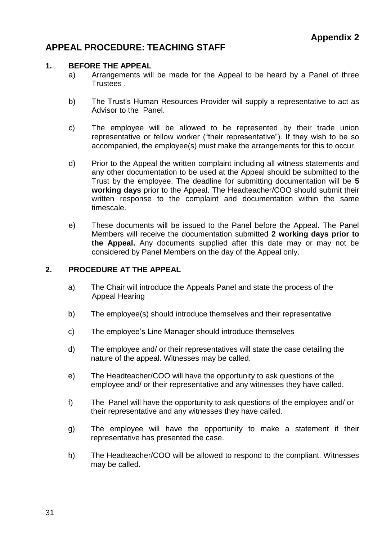## **APPEAL PROCEDURE: TEACHING STAFF**

#### **1. BEFORE THE APPEAL**

- a) Arrangements will be made for the Appeal to be heard by a Panel of three Trustees .
- b) The Trust's Human Resources Provider will supply a representative to act as Advisor to the Panel.
- c) The employee will be allowed to be represented by their trade union representative or fellow worker ("their representative"). If they wish to be so accompanied, the employee(s) must make the arrangements for this to occur.
- d) Prior to the Appeal the written complaint including all witness statements and any other documentation to be used at the Appeal should be submitted to the Trust by the employee. The deadline for submitting documentation will be **5 working days** prior to the Appeal. The Headteacher/COO should submit their written response to the complaint and documentation within the same timescale.
- e) These documents will be issued to the Panel before the Appeal. The Panel Members will receive the documentation submitted **2 working days prior to the Appeal.** Any documents supplied after this date may or may not be considered by Panel Members on the day of the Appeal only.

#### **2. PROCEDURE AT THE APPEAL**

- a) The Chair will introduce the Appeals Panel and state the process of the Appeal Hearing
- b) The employee(s) should introduce themselves and their representative
- c) The employee's Line Manager should introduce themselves
- d) The employee and/ or their representatives will state the case detailing the nature of the appeal. Witnesses may be called.
- e) The Headteacher/COO will have the opportunity to ask questions of the employee and/ or their representative and any witnesses they have called.
- f) The Panel will have the opportunity to ask questions of the employee and/ or their representative and any witnesses they have called.
- g) The employee will have the opportunity to make a statement if their representative has presented the case.
- h) The Headteacher/COO will be allowed to respond to the compliant. Witnesses may be called.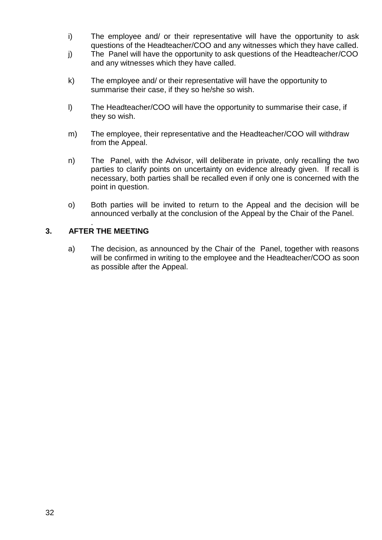- i) The employee and/ or their representative will have the opportunity to ask questions of the Headteacher/COO and any witnesses which they have called.
- j) The Panel will have the opportunity to ask questions of the Headteacher/COO and any witnesses which they have called.
- k) The employee and/ or their representative will have the opportunity to summarise their case, if they so he/she so wish.
- l) The Headteacher/COO will have the opportunity to summarise their case, if they so wish.
- m) The employee, their representative and the Headteacher/COO will withdraw from the Appeal.
- n) The Panel, with the Advisor, will deliberate in private, only recalling the two parties to clarify points on uncertainty on evidence already given. If recall is necessary, both parties shall be recalled even if only one is concerned with the point in question.
- o) Both parties will be invited to return to the Appeal and the decision will be announced verbally at the conclusion of the Appeal by the Chair of the Panel.

#### . **3. AFTER THE MEETING**

a) The decision, as announced by the Chair of the Panel, together with reasons will be confirmed in writing to the employee and the Headteacher/COO as soon as possible after the Appeal.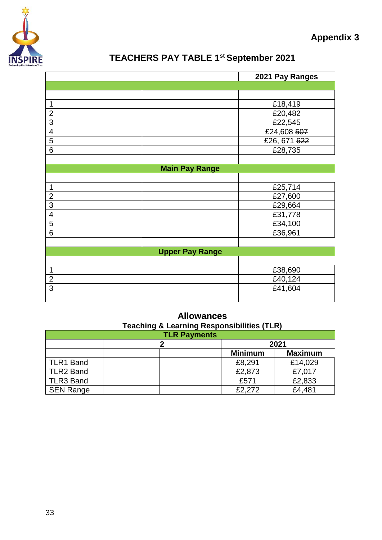

## **TEACHERS PAY TABLE 1st September 2021**

|                         |                       | 2021 Pay Ranges |  |  |
|-------------------------|-----------------------|-----------------|--|--|
|                         |                       |                 |  |  |
|                         |                       |                 |  |  |
| 1                       |                       | £18,419         |  |  |
| $\overline{c}$          |                       | £20,482         |  |  |
| $\overline{3}$          |                       | £22,545         |  |  |
| $\overline{4}$          |                       | £24,608 507     |  |  |
| $\overline{5}$          |                       | £26, 671 622    |  |  |
| $\overline{6}$          |                       | £28,735         |  |  |
|                         |                       |                 |  |  |
|                         | <b>Main Pay Range</b> |                 |  |  |
|                         |                       |                 |  |  |
| 1                       |                       | £25,714         |  |  |
| $\overline{c}$          |                       | £27,600         |  |  |
| $\overline{3}$          |                       | £29,664         |  |  |
| $\overline{\mathbf{4}}$ |                       | £31,778         |  |  |
| 5                       |                       | £34,100         |  |  |
| 6                       |                       | £36,961         |  |  |
|                         |                       |                 |  |  |
| <b>Upper Pay Range</b>  |                       |                 |  |  |
|                         |                       |                 |  |  |
| 1                       |                       | £38,690         |  |  |
| $\overline{c}$          |                       | £40,124         |  |  |
| 3                       |                       | £41,604         |  |  |
|                         |                       |                 |  |  |

## **Allowances Teaching & Learning Responsibilities (TLR)**

| <b>TLR Payments</b> |  |                |                |  |
|---------------------|--|----------------|----------------|--|
|                     |  | 2021           |                |  |
|                     |  | <b>Minimum</b> | <b>Maximum</b> |  |
| <b>TLR1 Band</b>    |  | £8,291         | £14,029        |  |
| TLR2 Band           |  | £2,873         | £7,017         |  |
| TLR3 Band           |  | £571           | £2,833         |  |
| <b>SEN Range</b>    |  | £2,272         | £4,481         |  |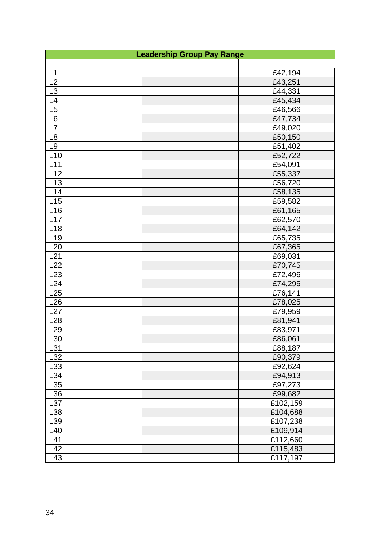| <b>Leadership Group Pay Range</b> |          |  |  |
|-----------------------------------|----------|--|--|
|                                   |          |  |  |
| L1                                | £42,194  |  |  |
| L2                                | £43,251  |  |  |
| L3                                | £44,331  |  |  |
| L4                                | £45,434  |  |  |
| L5                                | £46,566  |  |  |
| L6                                | £47,734  |  |  |
| L7                                | £49,020  |  |  |
| $\mathsf{L}8$                     | £50,150  |  |  |
| L <sub>9</sub>                    | £51,402  |  |  |
| L10                               | £52,722  |  |  |
| L11                               | £54,091  |  |  |
| L12                               | £55,337  |  |  |
| L13                               | £56,720  |  |  |
| L14                               | £58,135  |  |  |
| L15                               | £59,582  |  |  |
| L <sub>16</sub>                   | £61,165  |  |  |
| L17                               | £62,570  |  |  |
| L18                               | £64,142  |  |  |
| L <sub>19</sub>                   | £65,735  |  |  |
| L20                               | £67,365  |  |  |
| L21                               | £69,031  |  |  |
| L22                               | £70,745  |  |  |
| L23                               | £72,496  |  |  |
| L24                               | £74,295  |  |  |
| L25                               | £76,141  |  |  |
| L26                               | £78,025  |  |  |
| L27                               | £79,959  |  |  |
| L28                               | £81,941  |  |  |
| L <sub>29</sub>                   | £83,971  |  |  |
| L30                               | £86,061  |  |  |
| L31                               | £88,187  |  |  |
| L32                               | £90,379  |  |  |
| L33                               | £92,624  |  |  |
| L34                               | £94,913  |  |  |
| L35                               | £97,273  |  |  |
| L36                               | £99,682  |  |  |
| L37                               | £102,159 |  |  |
| L38                               | £104,688 |  |  |
| L39                               | £107,238 |  |  |
| L40                               | £109,914 |  |  |
| L41                               | £112,660 |  |  |
| L42                               | £115,483 |  |  |
| L43                               | £117,197 |  |  |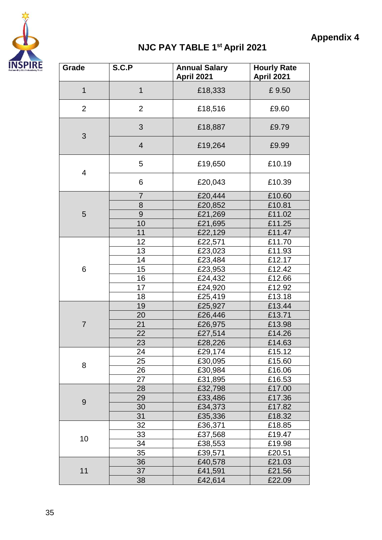

## **Appendix 4**

## **NJC PAY TABLE 1st April 2021**

| April 2021                                  | April 2021 |
|---------------------------------------------|------------|
| $\mathbf{1}$<br>$\mathbf 1$<br>£18,333      | £9.50      |
| $\overline{2}$<br>$\overline{2}$<br>£18,516 | £9.60      |
| 3<br>£18,887<br>3                           | £9.79      |
| $\overline{4}$<br>£19,264                   | £9.99      |
| 5<br>£19,650<br>4                           | £10.19     |
| 6<br>£20,043                                | £10.39     |
| £20,444<br>7                                | £10.60     |
| £20,852<br>8                                | £10.81     |
| $\overline{9}$<br>£21,269<br>5              | £11.02     |
| 10<br>£21,695                               | £11.25     |
| 11<br>£22,129                               | £11.47     |
| 12<br>£22,571                               | £11.70     |
| 13<br>£23,023                               | £11.93     |
| 14<br>£23,484                               | £12.17     |
| 6<br>15<br>£23,953                          | £12.42     |
| 16<br>£24,432                               | £12.66     |
| 17<br>£24,920                               | £12.92     |
| 18<br>£25,419                               | £13.18     |
| 19<br>£25,927                               | £13.44     |
| 20<br>£26,446                               | £13.71     |
| $\overline{7}$<br>21<br>£26,975             | £13.98     |
| 22<br>£27,514                               | £14.26     |
| 23<br>£28,226                               | £14.63     |
| £29,174<br>24                               | £15.12     |
| 25<br>£30,095                               | £15.60     |
| 8<br>26<br>£30,984                          | £16.06     |
| 27<br>£31,895                               | £16.53     |
| 28<br>£32,798                               | £17.00     |
| 29<br>£33,486                               | £17.36     |
| 9<br>30<br>£34,373                          | £17.82     |
| 31<br>£35,336                               | £18.32     |
| 32<br>£36,371                               | £18.85     |
| 33<br>£37,568                               | £19.47     |
| 10<br>34<br>£38,553                         | £19.98     |
| 35<br>£39,571                               | £20.51     |
| 36<br>£40,578                               | £21.03     |
| 11<br>37<br>£41,591                         | £21.56     |
| 38<br>£42,614                               | £22.09     |